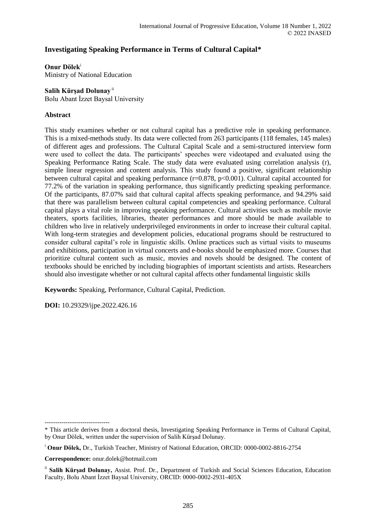# **Investigating Speaking Performance in Terms of Cultural Capital\***

**Onur Dölek**<sup>i</sup>

Ministry of National Education

## **Salih Kürşad Dolunay** ii

Bolu Abant İzzet Baysal University

## **Abstract**

This study examines whether or not cultural capital has a predictive role in speaking performance. This is a mixed-methods study. Its data were collected from 263 participants (118 females, 145 males) of different ages and professions. The Cultural Capital Scale and a semi-structured interview form were used to collect the data. The participants' speeches were videotaped and evaluated using the Speaking Performance Rating Scale. The study data were evaluated using correlation analysis (r), simple linear regression and content analysis. This study found a positive, significant relationship between cultural capital and speaking performance (r=0.878, p<0.001). Cultural capital accounted for 77.2% of the variation in speaking performance, thus significantly predicting speaking performance. Of the participants, 87.07% said that cultural capital affects speaking performance, and 94.29% said that there was parallelism between cultural capital competencies and speaking performance. Cultural capital plays a vital role in improving speaking performance. Cultural activities such as mobile movie theaters, sports facilities, libraries, theater performances and more should be made available to children who live in relatively underprivileged environments in order to increase their cultural capital. With long-term strategies and development policies, educational programs should be restructured to consider cultural capital's role in linguistic skills. Online practices such as virtual visits to museums and exhibitions, participation in virtual concerts and e-books should be emphasized more. Courses that prioritize cultural content such as music, movies and novels should be designed. The content of textbooks should be enriched by including biographies of important scientists and artists. Researchers should also investigate whether or not cultural capital affects other fundamental linguistic skills

**Keywords:** Speaking, Performance, Cultural Capital, Prediction.

**DOI:** 10.29329/ijpe.2022.426.16

<sup>-------------------------------</sup>

<sup>\*</sup> This article derives from a doctoral thesis, Investigating Speaking Performance in Terms of Cultural Capital, by Onur Dölek, written under the supervision of Salih Kürşad Dolunay.

<sup>i</sup> **Onur Dölek,** Dr., Turkish Teacher, Ministry of National Education, ORCID: 0000-0002-8816-2754

**Correspondence:** onur.dolek@hotmail.com

ii **Salih Kürşad Dolunay,** Assist. Prof. Dr., Department of Turkish and Social Sciences Education, Education Faculty, Bolu Abant İzzet Baysal University, ORCID: 0000-0002-2931-405X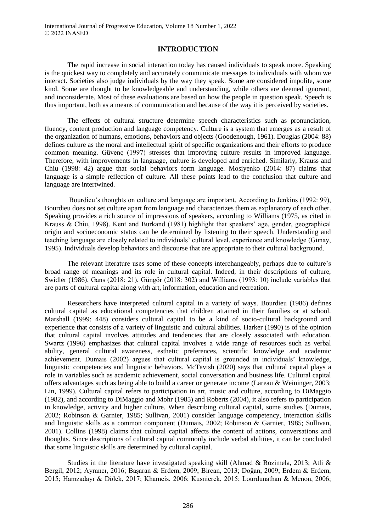## **INTRODUCTION**

The rapid increase in social interaction today has caused individuals to speak more. Speaking is the quickest way to completely and accurately communicate messages to individuals with whom we interact. Societies also judge individuals by the way they speak. Some are considered impolite, some kind. Some are thought to be knowledgeable and understanding, while others are deemed ignorant, and inconsiderate. Most of these evaluations are based on how the people in question speak. Speech is thus important, both as a means of communication and because of the way it is perceived by societies.

The effects of cultural structure determine speech characteristics such as pronunciation, fluency, content production and language competency. Culture is a system that emerges as a result of the organization of humans, emotions, behaviors and objects (Goodenough, 1961). Douglas (2004: 88) defines culture as the moral and intellectual spirit of specific organizations and their efforts to produce common meaning. Güvenç (1997) stresses that improving culture results in improved language. Therefore, with improvements in language, culture is developed and enriched. Similarly, Krauss and Chiu (1998: 42) argue that social behaviors form language. Mosiyenko (2014: 87) claims that language is a simple reflection of culture. All these points lead to the conclusion that culture and language are intertwined.

Bourdieu's thoughts on culture and language are important. According to Jenkins (1992: 99), Bourdieu does not set culture apart from language and characterizes them as explanatory of each other. Speaking provides a rich source of impressions of speakers, according to Williams (1975, as cited in Krauss & Chiu, 1998). Kent and Burkand (1981) highlight that speakers' age, gender, geographical origin and socioeconomic status can be determined by listening to their speech. Understanding and teaching language are closely related to individuals' cultural level, experience and knowledge (Günay, 1995). Individuals develop behaviors and discourse that are appropriate to their cultural background.

The relevant literature uses some of these concepts interchangeably, perhaps due to culture's broad range of meanings and its role in cultural capital. Indeed, in their descriptions of culture, Swidler (1986), Gans (2018: 21), Güngör (2018: 302) and Williams (1993: 10) include variables that are parts of cultural capital along with art, information, education and recreation.

Researchers have interpreted cultural capital in a variety of ways. Bourdieu (1986) defines cultural capital as educational competencies that children attained in their families or at school. Marshall (1999: 448) considers cultural capital to be a kind of socio-cultural background and experience that consists of a variety of linguistic and cultural abilities. Harker (1990) is of the opinion that cultural capital involves attitudes and tendencies that are closely associated with education. Swartz (1996) emphasizes that cultural capital involves a wide range of resources such as verbal ability, general cultural awareness, esthetic preferences, scientific knowledge and academic achievement. Dumais (2002) argues that cultural capital is grounded in individuals' knowledge, linguistic competencies and linguistic behaviors. McTavish (2020) says that cultural capital plays a role in variables such as academic achievement, social conversation and business life. Cultural capital offers advantages such as being able to build a career or generate income (Lareau & Weininger, 2003; Lin, 1999). Cultural capital refers to participation in art, music and culture, according to DiMaggio (1982), and according to DiMaggio and Mohr (1985) and Roberts (2004), it also refers to participation in knowledge, activity and higher culture. When describing cultural capital, some studies (Dumais, 2002; Robinson & Garnier, 1985; Sullivan, 2001) consider language competency, interaction skills and linguistic skills as a common component (Dumais, 2002; Robinson & Garnier, 1985; Sullivan, 2001). Collins (1998) claims that cultural capital affects the content of actions, conversations and thoughts. Since descriptions of cultural capital commonly include verbal abilities, it can be concluded that some linguistic skills are determined by cultural capital.

Studies in the literature have investigated speaking skill (Ahmad & Rozimela, 2013; Atli & Bergil, 2012; Ayrancı, 2016; Başaran & Erdem, 2009; Bircan, 2013; Doğan, 2009; Erdem & Erdem, 2015; Hamzadayı & Dölek, 2017; Khameis, 2006; Kusnierek, 2015; Lourdunathan & Menon, 2006;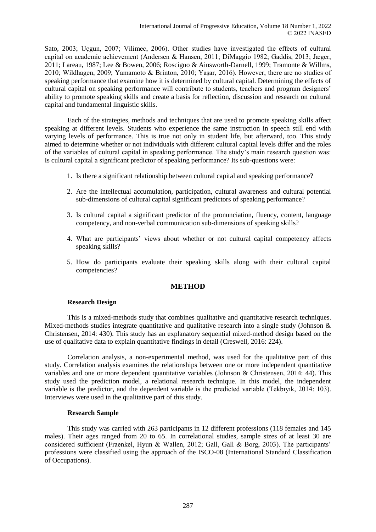Sato, 2003; Uçgun, 2007; Vilimec, 2006). Other studies have investigated the effects of cultural capital on academic achievement (Andersen & Hansen, 2011; DiMaggio 1982; Gaddis, 2013; Jæger, 2011; Lareau, 1987; Lee & Bowen, 2006; Roscigno & Ainsworth-Darnell, 1999; Tramonte & Willms, 2010; Wildhagen, 2009; Yamamoto & Brinton, 2010; Yaşar, 2016). However, there are no studies of speaking performance that examine how it is determined by cultural capital. Determining the effects of cultural capital on speaking performance will contribute to students, teachers and program designers' ability to promote speaking skills and create a basis for reflection, discussion and research on cultural capital and fundamental linguistic skills.

Each of the strategies, methods and techniques that are used to promote speaking skills affect speaking at different levels. Students who experience the same instruction in speech still end with varying levels of performance. This is true not only in student life, but afterward, too. This study aimed to determine whether or not individuals with different cultural capital levels differ and the roles of the variables of cultural capital in speaking performance. The study's main research question was: Is cultural capital a significant predictor of speaking performance? Its sub-questions were:

- 1. Is there a significant relationship between cultural capital and speaking performance?
- 2. Are the intellectual accumulation, participation, cultural awareness and cultural potential sub-dimensions of cultural capital significant predictors of speaking performance?
- 3. Is cultural capital a significant predictor of the pronunciation, fluency, content, language competency, and non-verbal communication sub-dimensions of speaking skills?
- 4. What are participants' views about whether or not cultural capital competency affects speaking skills?
- 5. How do participants evaluate their speaking skills along with their cultural capital competencies?

## **METHOD**

### **Research Design**

This is a mixed-methods study that combines qualitative and quantitative research techniques. Mixed-methods studies integrate quantitative and qualitative research into a single study (Johnson  $\&$ Christensen, 2014: 430). This study has an explanatory sequential mixed-method design based on the use of qualitative data to explain quantitative findings in detail (Creswell, 2016: 224).

Correlation analysis, a non-experimental method, was used for the qualitative part of this study. Correlation analysis examines the relationships between one or more independent quantitative variables and one or more dependent quantitative variables (Johnson & Christensen, 2014: 44). This study used the prediction model, a relational research technique. In this model, the independent variable is the predictor, and the dependent variable is the predicted variable (Tekbıyık, 2014: 103). Interviews were used in the qualitative part of this study.

#### **Research Sample**

This study was carried with 263 participants in 12 different professions (118 females and 145 males). Their ages ranged from 20 to 65. In correlational studies, sample sizes of at least 30 are considered sufficient (Fraenkel, Hyun & Wallen, 2012; Gall, Gall & Borg, 2003). The participants' professions were classified using the approach of the ISCO-08 (International Standard Classification of Occupations).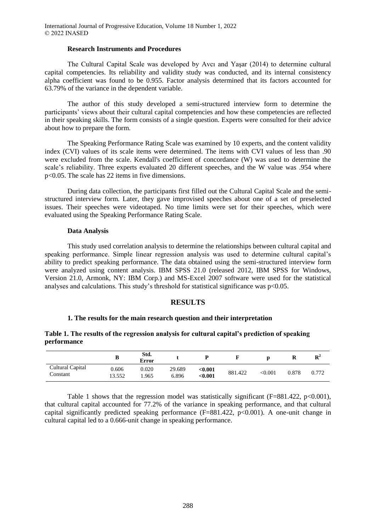#### **Research Instruments and Procedures**

The Cultural Capital Scale was developed by Avcı and Yaşar (2014) to determine cultural capital competencies. Its reliability and validity study was conducted, and its internal consistency alpha coefficient was found to be 0.955. Factor analysis determined that its factors accounted for 63.79% of the variance in the dependent variable.

The author of this study developed a semi-structured interview form to determine the participants' views about their cultural capital competencies and how these competencies are reflected in their speaking skills. The form consists of a single question. Experts were consulted for their advice about how to prepare the form.

The Speaking Performance Rating Scale was examined by 10 experts, and the content validity index (CVI) values of its scale items were determined. The items with CVI values of less than .90 were excluded from the scale. Kendall's coefficient of concordance (W) was used to determine the scale's reliability. Three experts evaluated 20 different speeches, and the W value was .954 where p<0.05. The scale has 22 items in five dimensions.

During data collection, the participants first filled out the Cultural Capital Scale and the semistructured interview form. Later, they gave improvised speeches about one of a set of preselected issues. Their speeches were videotaped. No time limits were set for their speeches, which were evaluated using the Speaking Performance Rating Scale.

#### **Data Analysis**

This study used correlation analysis to determine the relationships between cultural capital and speaking performance. Simple linear regression analysis was used to determine cultural capital's ability to predict speaking performance. The data obtained using the semi-structured interview form were analyzed using content analysis. IBM SPSS 21.0 (released 2012, IBM SPSS for Windows, Version 21.0, Armonk, NY: IBM Corp.) and MS-Excel 2007 software were used for the statistical analyses and calculations. This study's threshold for statistical significance was  $p<0.05$ .

### **RESULTS**

## **1. The results for the main research question and their interpretation**

## **Table 1. The results of the regression analysis for cultural capital's prediction of speaking performance**

|                              | D              | Std.<br>Error  |                 |                    |         |         | R     | $\mathbf{R}^2$ |
|------------------------------|----------------|----------------|-----------------|--------------------|---------|---------|-------|----------------|
| Cultural Capital<br>Constant | 0.606<br>3.552 | 0.020<br>1.965 | 29.689<br>6.896 | < 0.001<br>< 0.001 | 881.422 | < 0.001 | 0.878 | 0.772          |

Table 1 shows that the regression model was statistically significant ( $F=881.422$ ,  $p<0.001$ ), that cultural capital accounted for 77.2% of the variance in speaking performance, and that cultural capital significantly predicted speaking performance  $(F=881.422, p<0.001)$ . A one-unit change in cultural capital led to a 0.666-unit change in speaking performance.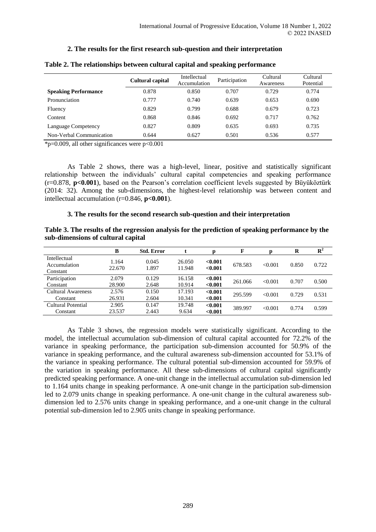# **2. The results for the first research sub-question and their interpretation**

|                             | <b>Cultural capital</b> | Intellectual<br>Participation<br>Accumulation |       | Cultural<br>Awareness | Cultural<br>Potential |
|-----------------------------|-------------------------|-----------------------------------------------|-------|-----------------------|-----------------------|
| <b>Speaking Performance</b> | 0.878                   | 0.850                                         | 0.707 | 0.729                 | 0.774                 |
| Pronunciation               | 0.777                   | 0.740                                         | 0.639 | 0.653                 | 0.690                 |
| Fluency                     | 0.829                   | 0.799                                         | 0.688 | 0.679                 | 0.723                 |
| Content                     | 0.868                   | 0.846                                         | 0.692 | 0.717                 | 0.762                 |
| Language Competency         | 0.827                   | 0.809                                         | 0.635 | 0.693                 | 0.735                 |
| Non-Verbal Communication    | 0.644                   | 0.627                                         | 0.501 | 0.536                 | 0.577                 |

### **Table 2. The relationships between cultural capital and speaking performance**

 $*p=0.009$ , all other significances were  $p<0.001$ 

As Table 2 shows, there was a high-level, linear, positive and statistically significant relationship between the individuals' cultural capital competencies and speaking performance (r=0.878, **p<0.001**), based on the Pearson's correlation coefficient levels suggested by Büyüköztürk (2014: 32). Among the sub-dimensions, the highest-level relationship was between content and intellectual accumulation (r=0.846, **p<0.001**).

## **3. The results for the second research sub-question and their interpretation**

|                                    | Table 3. The results of the regression analysis for the prediction of speaking performance by the |
|------------------------------------|---------------------------------------------------------------------------------------------------|
| sub-dimensions of cultural capital |                                                                                                   |

|                           | B      | <b>Std. Error</b> |        | р       | F       |         | R     | ${\bf R}^2$ |
|---------------------------|--------|-------------------|--------|---------|---------|---------|-------|-------------|
| Intellectual              | 1.164  | 0.045             | 26.050 | < 0.001 |         |         |       |             |
| Accumulation              |        |                   |        |         | 678.583 | < 0.001 | 0.850 | 0.722       |
| Constant                  | 22.670 | 1.897             | 11.948 | < 0.001 |         |         |       |             |
| Participation             | 2.079  | 0.129             | 16.158 | < 0.001 | 261.066 | < 0.001 | 0.707 | 0.500       |
| Constant                  | 28.900 | 2.648             | 10.914 | < 0.001 |         |         |       |             |
| <b>Cultural Awareness</b> | 2.576  | 0.150             | 17.193 | < 0.001 | 295.599 | < 0.001 | 0.729 | 0.531       |
| Constant                  | 26.931 | 2.604             | 10.341 | < 0.001 |         |         |       |             |
| Cultural Potential        | 2.905  | 0.147             | 19.748 | < 0.001 | 389.997 | < 0.001 | 0.774 | 0.599       |
| Constant                  | 23.537 | 2.443             | 9.634  | < 0.001 |         |         |       |             |

As Table 3 shows, the regression models were statistically significant. According to the model, the intellectual accumulation sub-dimension of cultural capital accounted for 72.2% of the variance in speaking performance, the participation sub-dimension accounted for 50.9% of the variance in speaking performance, and the cultural awareness sub-dimension accounted for 53.1% of the variance in speaking performance. The cultural potential sub-dimension accounted for 59.9% of the variation in speaking performance. All these sub-dimensions of cultural capital significantly predicted speaking performance. A one-unit change in the intellectual accumulation sub-dimension led to 1.164 units change in speaking performance. A one-unit change in the participation sub-dimension led to 2.079 units change in speaking performance. A one-unit change in the cultural awareness subdimension led to 2.576 units change in speaking performance, and a one-unit change in the cultural potential sub-dimension led to 2.905 units change in speaking performance.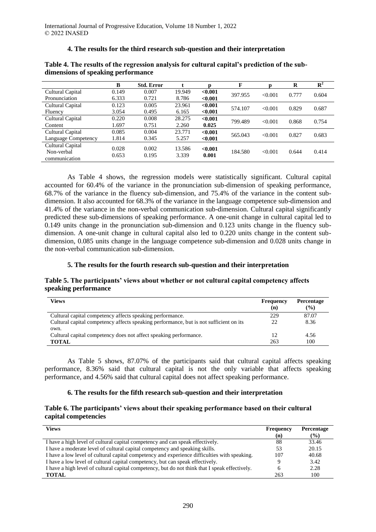## **4. The results for the third research sub-question and their interpretation**

|                     | B     | <b>Std. Error</b> |        |            | F       | n       | R     | $\overline{\mathbf{R}^2}$ |
|---------------------|-------|-------------------|--------|------------|---------|---------|-------|---------------------------|
| Cultural Capital    | 0.149 | 0.007             | 19.949 | < 0.001    | 397.955 | < 0.001 | 0.777 | 0.604                     |
| Pronunciation       | 6.333 | 0.721             | 8.786  | < 0.001    |         |         |       |                           |
| Cultural Capital    | 0.123 | 0.005             | 23.961 | < 0.001    | 574.107 | < 0.001 | 0.829 | 0.687                     |
| Fluency             | 3.054 | 0.495             | 6.165  | ${<}0.001$ |         |         |       |                           |
| Cultural Capital    | 0.220 | 0.008             | 28.275 | < 0.001    | 799.489 | < 0.001 | 0.868 | 0.754                     |
| Content             | 1.697 | 0.751             | 2.260  | 0.025      |         |         |       |                           |
| Cultural Capital    | 0.085 | 0.004             | 23.771 | < 0.001    | 565.043 | < 0.001 | 0.827 | 0.683                     |
| Language Competency | 1.814 | 0.345             | 5.257  | ${<}0.001$ |         |         |       |                           |
| Cultural Capital    |       |                   |        | < 0.001    |         |         |       |                           |
| Non-verbal          | 0.028 | 0.002             | 13.586 |            | 184.580 | < 0.001 | 0.644 | 0.414                     |
| communication       | 0.653 | 0.195             | 3.339  | 0.001      |         |         |       |                           |

## **Table 4. The results of the regression analysis for cultural capital's prediction of the subdimensions of speaking performance**

As Table 4 shows, the regression models were statistically significant. Cultural capital accounted for 60.4% of the variance in the pronunciation sub-dimension of speaking performance, 68.7% of the variance in the fluency sub-dimension, and 75.4% of the variance in the content subdimension. It also accounted for 68.3% of the variance in the language competence sub-dimension and 41.4% of the variance in the non-verbal communication sub-dimension. Cultural capital significantly predicted these sub-dimensions of speaking performance. A one-unit change in cultural capital led to 0.149 units change in the pronunciation sub-dimension and 0.123 units change in the fluency subdimension. A one-unit change in cultural capital also led to 0.220 units change in the content subdimension, 0.085 units change in the language competence sub-dimension and 0.028 units change in the non-verbal communication sub-dimension.

## **5. The results for the fourth research sub-question and their interpretation**

## **Table 5. The participants' views about whether or not cultural capital competency affects speaking performance**

| Views                                                                                          | Frequency<br>(n) | Percentage<br>$($ %) |
|------------------------------------------------------------------------------------------------|------------------|----------------------|
| Cultural capital competency affects speaking performance.                                      | 229              | 87.07                |
| Cultural capital competency affects speaking performance, but is not sufficient on its<br>own. | 22               | 8.36                 |
| Cultural capital competency does not affect speaking performance.                              | 12               | 4.56                 |
| <b>TOTAL</b>                                                                                   | 263              | 100                  |

As Table 5 shows, 87.07% of the participants said that cultural capital affects speaking performance, 8.36% said that cultural capital is not the only variable that affects speaking performance, and 4.56% said that cultural capital does not affect speaking performance.

## **6. The results for the fifth research sub-question and their interpretation**

## **Table 6. The participants' views about their speaking performance based on their cultural capital competencies**

| Views                                                                                          | Frequency | <b>Percentage</b> |
|------------------------------------------------------------------------------------------------|-----------|-------------------|
|                                                                                                | (n)       | $($ %)            |
| I have a high level of cultural capital competency and can speak effectively.                  | 88        | 33.46             |
| I have a moderate level of cultural capital competency and speaking skills.                    | 53        | 20.15             |
| I have a low level of cultural capital competency and experience difficulties with speaking.   | 107       | 40.68             |
| I have a low level of cultural capital competency, but can speak effectively.                  |           | 3.42              |
| I have a high level of cultural capital competency, but do not think that I speak effectively. | 6         | 2.28              |
| <b>TOTAL</b>                                                                                   | 263       | 100               |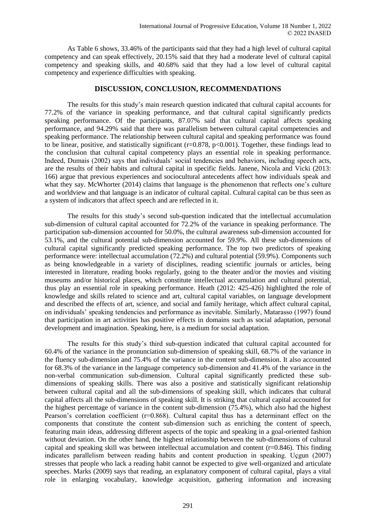As Table 6 shows, 33.46% of the participants said that they had a high level of cultural capital competency and can speak effectively, 20.15% said that they had a moderate level of cultural capital competency and speaking skills, and 40.68% said that they had a low level of cultural capital competency and experience difficulties with speaking.

## **DISCUSSION, CONCLUSION, RECOMMENDATIONS**

The results for this study's main research question indicated that cultural capital accounts for 77.2% of the variance in speaking performance, and that cultural capital significantly predicts speaking performance. Of the participants, 87.07% said that cultural capital affects speaking performance, and 94.29% said that there was parallelism between cultural capital competencies and speaking performance. The relationship between cultural capital and speaking performance was found to be linear, positive, and statistically significant ( $r=0.878$ ,  $p<0.001$ ). Together, these findings lead to the conclusion that cultural capital competency plays an essential role in speaking performance. Indeed, Dumais (2002) says that individuals' social tendencies and behaviors, including speech acts, are the results of their habits and cultural capital in specific fields. Janene, Nicola and Vicki (2013: 166) argue that previous experiences and sociocultural antecedents affect how individuals speak and what they say. McWhorter (2014) claims that language is the phenomenon that reflects one's culture and worldview and that language is an indicator of cultural capital. Cultural capital can be thus seen as a system of indicators that affect speech and are reflected in it.

The results for this study's second sub-question indicated that the intellectual accumulation sub-dimension of cultural capital accounted for 72.2% of the variance in speaking performance. The participation sub-dimension accounted for 50.0%, the cultural awareness sub-dimension accounted for 53.1%, and the cultural potential sub-dimension accounted for 59.9%. All these sub-dimensions of cultural capital significantly predicted speaking performance. The top two predictors of speaking performance were: intellectual accumulation (72.2%) and cultural potential (59.9%). Components such as being knowledgeable in a variety of disciplines, reading scientific journals or articles, being interested in literature, reading books regularly, going to the theater and/or the movies and visiting museums and/or historical places, which constitute intellectual accumulation and cultural potential, thus play an essential role in speaking performance. Heath (2012: 425-426) highlighted the role of knowledge and skills related to science and art, cultural capital variables, on language development and described the effects of art, science, and social and family heritage, which affect cultural capital, on individuals' speaking tendencies and performance as inevitable. Similarly, Matarasso (1997) found that participation in art activities has positive effects in domains such as social adaptation, personal development and imagination. Speaking, here, is a medium for social adaptation.

The results for this study's third sub-question indicated that cultural capital accounted for 60.4% of the variance in the pronunciation sub-dimension of speaking skill, 68.7% of the variance in the fluency sub-dimension and 75.4% of the variance in the content sub-dimension. It also accounted for 68.3% of the variance in the language competency sub-dimension and 41.4% of the variance in the non-verbal communication sub-dimension. Cultural capital significantly predicted these subdimensions of speaking skills. There was also a positive and statistically significant relationship between cultural capital and all the sub-dimensions of speaking skill, which indicates that cultural capital affects all the sub-dimensions of speaking skill. It is striking that cultural capital accounted for the highest percentage of variance in the content sub-dimension (75.4%), which also had the highest Pearson's correlation coefficient (r=0.868). Cultural capital thus has a determinant effect on the components that constitute the content sub-dimension such as enriching the content of speech, featuring main ideas, addressing different aspects of the topic and speaking in a goal-oriented fashion without deviation. On the other hand, the highest relationship between the sub-dimensions of cultural capital and speaking skill was between intellectual accumulation and content (r=0.846). This finding indicates parallelism between reading habits and content production in speaking. Uçgun (2007) stresses that people who lack a reading habit cannot be expected to give well-organized and articulate speeches. Marks (2009) says that reading, an explanatory component of cultural capital, plays a vital role in enlarging vocabulary, knowledge acquisition, gathering information and increasing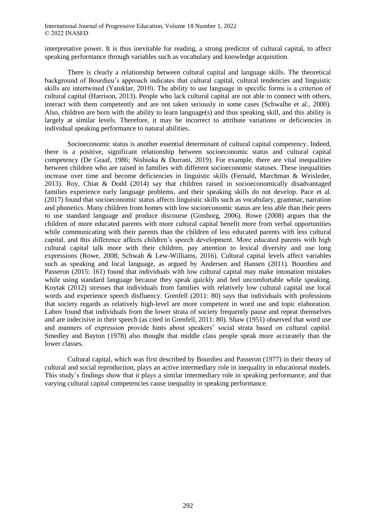interpretative power. It is thus inevitable for reading, a strong predictor of cultural capital, to affect speaking performance through variables such as vocabulary and knowledge acquisition.

There is clearly a relationship between cultural capital and language skills. The theoretical background of Bourdieu's approach indicates that cultural capital, cultural tendencies and linguistic skills are intertwined (Yanıklar, 2010). The ability to use language in specific forms is a criterion of cultural capital (Harrison, 2013). People who lack cultural capital are not able to connect with others, interact with them competently and are not taken seriously in some cases (Schwalbe et al., 2000). Also, children are born with the ability to learn language(s) and thus speaking skill, and this ability is largely at similar levels. Therefore, it may be incorrect to attribute variations or deficiencies in individual speaking performance to natural abilities.

Socioeconomic status is another essential determinant of cultural capital competency. Indeed, there is a positive, significant relationship between socioeconomic status and cultural capital competency (De Graaf, 1986; Nishioka & Durrani, 2019). For example, there are vital inequalities between children who are raised in families with different socioeconomic statuses. These inequalities increase over time and become deficiencies in linguistic skills (Fernald, Marchman & Weisleder, 2013). Roy, Chiat & Dodd (2014) say that children raised in socioeconomically disadvantaged families experience early language problems, and their speaking skills do not develop. Pace et al. (2017) found that socioeconomic status affects linguistic skills such as vocabulary, grammar, narration and phonetics. Many children from homes with low socioeconomic status are less able than their peers to use standard language and produce discourse (Ginsborg, 2006). Rowe (2008) argues that the children of more educated parents with more cultural capital benefit more from verbal opportunities while communicating with their parents than the children of less educated parents with less cultural capital, and this difference affects children's speech development. More educated parents with high cultural capital talk more with their children, pay attention to lexical diversity and use long expressions (Rowe, 2008; Schwab & Lew-Williams, 2016). Cultural capital levels affect variables such as speaking and local language, as argued by Andersen and Hansen (2011). Bourdieu and Passeron (2015: 161) found that individuals with low cultural capital may make intonation mistakes while using standard language because they speak quickly and feel uncomfortable while speaking. Koytak (2012) stresses that individuals from families with relatively low cultural capital use local words and experience speech disfluency. Grenfell (2011: 80) says that individuals with professions that society regards as relatively high-level are more competent in word use and topic elaboration. Labov found that individuals from the lower strata of society frequently pause and repeat themselves and are indecisive in their speech (as cited in Grenfell, 2011: 80). Shaw (1951) observed that word use and manners of expression provide hints about speakers' social strata based on cultural capital. Smedley and Bayton (1978) also thought that middle class people speak more accurately than the lower classes.

Cultural capital, which was first described by Bourdieu and Passeron (1977) in their theory of cultural and social reproduction, plays an active intermediary role in inequality in educational models. This study's findings show that it plays a similar intermediary role in speaking performance, and that varying cultural capital competencies cause inequality in speaking performance.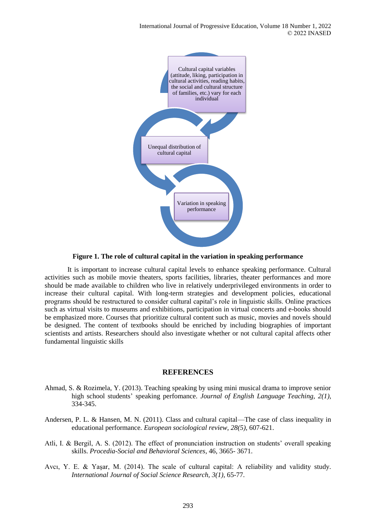

**Figure 1. The role of cultural capital in the variation in speaking performance**

It is important to increase cultural capital levels to enhance speaking performance. Cultural activities such as mobile movie theaters, sports facilities, libraries, theater performances and more should be made available to children who live in relatively underprivileged environments in order to increase their cultural capital. With long-term strategies and development policies, educational programs should be restructured to consider cultural capital's role in linguistic skills. Online practices such as virtual visits to museums and exhibitions, participation in virtual concerts and e-books should be emphasized more. Courses that prioritize cultural content such as music, movies and novels should be designed. The content of textbooks should be enriched by including biographies of important scientists and artists. Researchers should also investigate whether or not cultural capital affects other fundamental linguistic skills

## **REFERENCES**

- Ahmad, S. & Rozimela, Y. (2013). Teaching speaking by using mini musical drama to improve senior high school students' speaking perfomance. *Journal of English Language Teaching, 2(1),* 334-345.
- Andersen, P. L. & Hansen, M. N. (2011). Class and cultural capital—The case of class inequality in educational performance. *European sociological review, 28(5),* 607-621.
- Atli, I. & Bergil, A. S. (2012). The effect of pronunciation instruction on students' overall speaking skills. *Procedia-Social and Behavioral Sciences*, 46, 3665- 3671.
- Avcı, Y. E. & Yaşar, M. (2014). The scale of cultural capital: A reliability and validity study. *International Journal of Social Science Research, 3(1),* 65-77.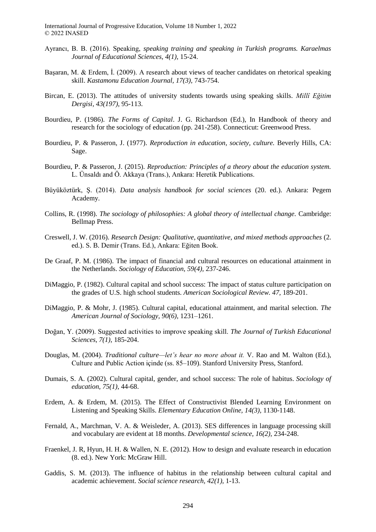- Ayrancı, B. B. (2016). Speaking, *speaking training and speaking in Turkish programs. Karaelmas Journal of Educational Sciences, 4(1),* 15-24.
- Başaran, M. & Erdem, İ. (2009). A research about views of teacher candidates on rhetorical speaking skill. *Kastamonu Education Journal, 17(3),* 743-754.
- Bircan, E. (2013). The attitudes of university students towards using speaking skills. *Millî Eğitim Dergisi, 43(197),* 95-113.
- Bourdieu, P. (1986). *The Forms of Capital*. J. G. Richardson (Ed.), In Handbook of theory and research for the sociology of education (pp. 241-258). Connecticut: Greenwood Press.
- Bourdieu, P. & Passeron, J. (1977). *Reproduction in education, society, culture.* Beverly Hills, CA: Sage.
- Bourdieu, P. & Passeron, J. (2015). *Reproduction: Principles of a theory about the education system.*  L. Ünsaldı and Ö. Akkaya (Trans.), Ankara: Heretik Publications.
- Büyüköztürk, Ş. (2014). *Data analysis handbook for social sciences* (20. ed.). Ankara: Pegem Academy.
- Collins, R. (1998). *The sociology of philosophies: A global theory of intellectual change.* Cambridge: Bellmap Press.
- Creswell, J. W. (2016). *Research Design: Qualitative, quantitative, and mixed methods approaches* (2. ed.). S. B. Demir (Trans. Ed.), Ankara: Eğiten Book.
- De Graaf, P. M. (1986). The impact of financial and cultural resources on educational attainment in the Netherlands. *Sociology of Education, 59(4),* 237-246.
- DiMaggio, P. (1982). Cultural capital and school success: The impact of status culture participation on the grades of U.S. high school students. *American Sociological Review. 47,* 189-201.
- DiMaggio, P. & Mohr, J. (1985). Cultural capital, educational attainment, and marital selection. *The American Journal of Sociology, 90(6),* 1231–1261.
- Doğan, Y. (2009). Suggested activities to improve speaking skill. *The Journal of Turkish Educational Sciences, 7(1),* 185-204.
- Douglas, M. (2004). *Traditional culture—let's hear no more about it.* V. Rao and M. Walton (Ed.), Culture and Public Action içinde (ss. 85–109). Stanford University Press, Stanford.
- Dumais, S. A. (2002). Cultural capital, gender, and school success: The role of habitus. *Sociology of education, 75(1),* 44-68.
- Erdem, A. & Erdem, M. (2015). The Effect of Constructivist Blended Learning Environment on Listening and Speaking Skills. *Elementary Education Online, 14(3),* 1130-1148.
- Fernald, A., Marchman, V. A. & Weisleder, A. (2013). SES differences in language processing skill and vocabulary are evident at 18 months. *Developmental science, 16(2),* 234-248.
- Fraenkel, J. R, Hyun, H. H. & Wallen, N. E. (2012). How to design and evaluate research in education (8. ed.). New York: McGraw Hill.
- Gaddis, S. M. (2013). The influence of habitus in the relationship between cultural capital and academic achievement. *Social science research, 42(1),* 1-13.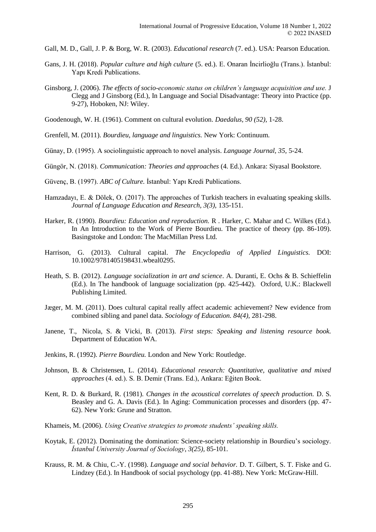Gall, M. D., Gall, J. P. & Borg, W. R. (2003). *Educational research* (7. ed.). USA: Pearson Education.

- Gans, J. H. (2018). *Popular culture and high culture* (5. ed.). E. Onaran İncirlioğlu (Trans.). İstanbul: Yapı Kredi Publications.
- Ginsborg, J. (2006). *The effects of socio-economic status on children's language acquisition and use.* J Clegg and J Ginsborg (Ed.), In Language and Social Disadvantage: Theory into Practice (pp. 9-27), Hoboken, NJ: Wiley.
- Goodenough, W. H. (1961). Comment on cultural evolution. *Daedalus, 90 (52),* 1-28.
- Grenfell, M. (2011). *Bourdieu, language and linguistics.* New York: Continuum.
- Günay, D. (1995). A sociolinguistic approach to novel analysis. *Language Journal, 35,* 5-24.
- Güngör, N. (2018). *Communication: Theories and approaches* (4. Ed.). Ankara: Siyasal Bookstore.
- Güvenç, B. (1997). *ABC of Culture.* İstanbul: Yapı Kredi Publications.
- Hamzadayı, E. & Dölek, O. (2017). The approaches of Turkish teachers in evaluating speaking skills. *Journal of Language Education and Research, 3(3),* 135-151.
- Harker, R. (1990). *Bourdieu: Education and reproduction.* R . Harker, C. Mahar and C. Wilkes (Ed.). In An Introduction to the Work of Pierre Bourdieu. The practice of theory (pp. 86-109). Basingstoke and London: The MacMillan Press Ltd.
- Harrison, G. (2013). Cultural capital. *The Encyclopedia of Applied Linguistics.* DOI: 10.1002/9781405198431.wbeal0295.
- Heath, S. B. (2012). *Language socialization in art and science*. A. Duranti, E. Ochs & B. Schieffelin (Ed.). In The handbook of language socialization (pp. 425-442). Oxford, U.K.: Blackwell Publishing Limited.
- Jæger, M. M. (2011). Does cultural capital really affect academic achievement? New evidence from combined sibling and panel data. *Sociology of Education. 84(4),* 281-298.
- [Janene,](http://gen.lib.rus.ec/search.php?req=Tuckey+Janene&column=author) T., [Nicola,](http://gen.lib.rus.ec/search.php?req=+Sparkes+Nicola&column=author) S. & [Vicki,](http://gen.lib.rus.ec/search.php?req=+Brockhoff+Vicki.&column=author) B. (2013). *First steps: [Speaking and listening resource book.](http://det.wa.edu.au/stepsresources/redirect/?oid=com.arsdigita.cms.contenttypes.FileStorageItem-id-13760765)*  [Department of Education WA.](http://det.wa.edu.au/stepsresources/redirect/?oid=com.arsdigita.cms.contenttypes.FileStorageItem-id-13760765)
- Jenkins, R. (1992). *Pierre Bourdieu.* London and New York: Routledge.
- Johnson, B. & Christensen, L. (2014). *Educational research: Quantitative, qualitative and mixed approaches* (4. ed.). S. B. Demir (Trans. Ed.), Ankara: Eğiten Book.
- Kent, R. D. & Burkard, R. (1981). *Changes in the acoustical correlates of speech production.* D. S. Beasley and G. A. Davis (Ed.). In Aging: Communication processes and disorders (pp. 47- 62). New York: Grune and Stratton.
- Khameis, M. (2006). *Using Creative strategies to promote students' speaking skills.*
- Koytak, E. (2012). Dominating the domination: Science-society relationship in Bourdieu's sociology. *İstanbul University Journal of Sociology*, *3(25),* 85-101.
- Krauss, R. M. & Chiu, C.-Y. (1998). *Language and social behavior.* D. T. Gilbert, S. T. Fiske and G. Lindzey (Ed.). In Handbook of social psychology (pp. 41-88). New York: McGraw-Hill.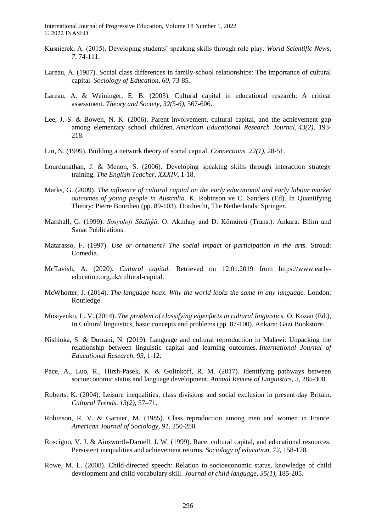- Kusnierek, A. (2015). Developing students' speaking skills through role play. *World Scientific News*, *7,* 74-111.
- Lareau, A. (1987). Social class differences in family-school relationships: The importance of cultural capital. *Sociology of Education, 60,* 73-85.
- Lareau, A. & Weininger, E. B. (2003). Cultural capital in educational research: A critical assessment. *Theory and Society, 32(5-6),* 567-606.
- Lee, J. S. & Bowen, N. K. (2006). Parent involvement, cultural capital, and the achievement gap among elementary school children. *American Educational Research Journal, 43(2),* 193- 218.
- Lin, N. (1999). Building a network theory of social capital. *Connections. 22(1),* 28-51.
- Lourdunathan, J. & Menon, S. (2006). Developing speaking skills through interaction strategy training. *The English Teacher, XXXIV,* 1-18.
- Marks, G. (2009). *The influence of cultural capital on the early educational and early labour market outcomes of young people in Australia.* K. Robinson ve C. Sanders (Ed). In Quantifying Theory: Pierre Bourdieu (pp. 89-103). Dordrecht, The Netherlands: Springer.
- Marshall, G. (1999). *Sosyoloji Sözlüğü*. O. Akınhay and D. Kömürcü (Trans.). Ankara: Bilim and Sanat Publications.
- Matarasso, F. (1997). *Use or ornament? The social impact of participation in the arts.* Stroud: Comedia.
- McTavish, A. (2020). *Cultural capital.* Retrieved on 12.01.2019 from https://www.earlyeducation.org.uk/cultural-capital.
- McWhorter, J. (2014). *The language hoax. Why the world looks the same in any language.* London: Routledge.
- Mosiyenko, L. V. (2014). *The problem of classifying eigenfacts in cultural linguistics.* O. Kozan (Ed.), In Cultural linguistics, basic concepts and problems (pp. 87-100). Ankara: Gazi Bookstore.
- Nishioka, S. & Durrani, N. (2019). Language and cultural reproduction in Malawi: Unpacking the relationship between linguistic capital and learning outcomes. *International Journal of Educational Research, 93,* 1-12.
- Pace, A., Luo, R., Hirsh-Pasek, K. & Golinkoff, R. M. (2017). Identifying pathways between socioeconomic status and language development. *Annual Review of Linguistics, 3,* 285-308.
- Roberts, K. (2004). Leisure inequalities, class divisions and social exclusion in present-day Britain. *Cultural Trends, 13(2),* 57–71.
- Robinson, R. V. & Garnier, M. (1985). Class reproduction among men and women in France. *American Journal of Sociology, 91,* 250-280.
- Roscigno, V. J. & Ainsworth-Darnell, J. W. (1999). Race, cultural capital, and educational resources: Persistent inequalities and achievement returns. *Sociology of education, 72*, 158-178.
- Rowe, M. L. (2008). Child-directed speech: Relation to socioeconomic status, knowledge of child development and child vocabulary skill. *Journal of child language, 35(1),* 185-205.